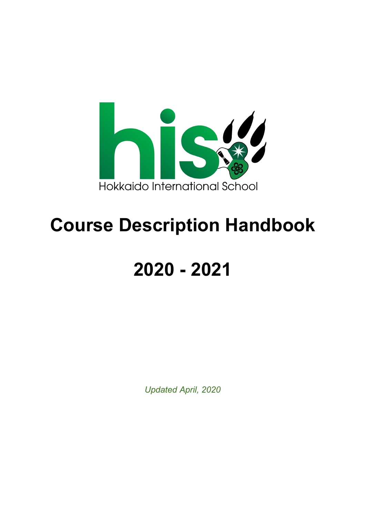

# **Course Description Handbook**

# **2020 - 2021**

*Updated April, 2020*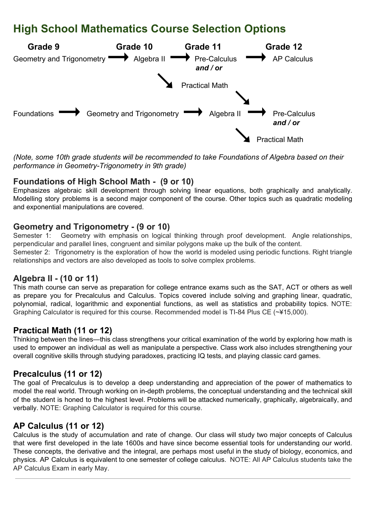# **High School Mathematics Course Selection Options**



*(Note, some 10th grade students will be recommended to take Foundations of Algebra based on their performance in Geometry-Trigonometry in 9th grade)*

#### **Foundations of High School Math - (9 or 10)**

Emphasizes algebraic skill development through solving linear equations, both graphically and analytically. Modelling story problems is a second major component of the course. Other topics such as quadratic modeling and exponential manipulations are covered.

#### **Geometry and Trigonometry - (9 or 10)**

Semester 1: Geometry with emphasis on logical thinking through proof development. Angle relationships, perpendicular and parallel lines, congruent and similar polygons make up the bulk of the content.

Semester 2: Trigonometry is the exploration of how the world is modeled using periodic functions. Right triangle relationships and vectors are also developed as tools to solve complex problems.

#### **Algebra II - (10 or 11)**

This math course can serve as preparation for college entrance exams such as the SAT, ACT or others as well as prepare you for Precalculus and Calculus. Topics covered include solving and graphing linear, quadratic, polynomial, radical, logarithmic and exponential functions, as well as statistics and probability topics. NOTE: Graphing Calculator is required for this course. Recommended model is TI-84 Plus CE (~¥15,000).

#### **Practical Math (11 or 12)**

Thinking between the lines—this class strengthens your critical examination of the world by exploring how math is used to empower an individual as well as manipulate a perspective. Class work also includes strengthening your overall cognitive skills through studying paradoxes, practicing IQ tests, and playing classic card games.

#### **Precalculus (11 or 12)**

The goal of Precalculus is to develop a deep understanding and appreciation of the power of mathematics to model the real world. Through working on in-depth problems, the conceptual understanding and the technical skill of the student is honed to the highest level. Problems will be attacked numerically, graphically, algebraically, and verbally. NOTE: Graphing Calculator is required for this course.

#### **AP Calculus (11 or 12)**

Calculus is the study of accumulation and rate of change. Our class will study two major concepts of Calculus that were first developed in the late 1600s and have since become essential tools for understanding our world. These concepts, the derivative and the integral, are perhaps most useful in the study of biology, economics, and physics. AP Calculus is equivalent to one semester of college calculus. NOTE: All AP Calculus students take the AP Calculus Exam in early May.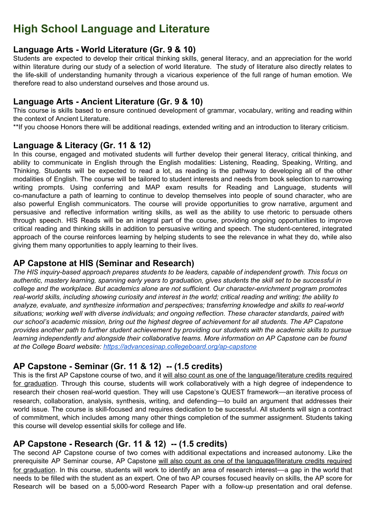# **High School Language and Literature**

#### **Language Arts - World Literature (Gr. 9 & 10)**

Students are expected to develop their critical thinking skills, general literacy, and an appreciation for the world within literature during our study of a selection of world literature. The study of literature also directly relates to the life-skill of understanding humanity through a vicarious experience of the full range of human emotion. We therefore read to also understand ourselves and those around us.

#### **Language Arts - Ancient Literature (Gr. 9 & 10)**

This course is skills based to ensure continued development of grammar, vocabulary, writing and reading within the context of Ancient Literature.

\*\*If you choose Honors there will be additional readings, extended writing and an introduction to literary criticism.

#### **Language & Literacy (Gr. 11 & 12)**

In this course, engaged and motivated students will further develop their general literacy, critical thinking, and ability to communicate in English through the English modalities: Listening, Reading, Speaking, Writing, and Thinking. Students will be expected to read a lot, as reading is the pathway to developing all of the other modalities of English. The course will be tailored to student interests and needs from book selection to narrowing writing prompts. Using conferring and MAP exam results for Reading and Language, students will co-manufacture a path of learning to continue to develop themselves into people of sound character, who are also powerful English communicators. The course will provide opportunities to grow narrative, argument and persuasive and reflective information writing skills, as well as the ability to use rhetoric to persuade others through speech. HIS Reads will be an integral part of the course, providing ongoing opportunities to improve critical reading and thinking skills in addition to persuasive writing and speech. The student-centered, integrated approach of the course reinforces learning by helping students to see the relevance in what they do, while also giving them many opportunities to apply learning to their lives.

#### **AP Capstone at HIS (Seminar and Research)**

*The HIS inquiry-based approach prepares students to be leaders, capable of independent growth. This focus on* authentic, mastery learning, spanning early years to graduation, gives students the skill set to be successful in *college and the workplace. But academics alone are not sufficient. Our character-enrichment program promotes* real-world skills, including showing curiosity and interest in the world; critical reading and writing; the ability to *analyze, evaluate, and synthesize information and perspectives; transferring knowledge and skills to real-world situations; working well with diverse individuals; and ongoing reflection. These character standards, paired with* our school's academic mission, bring out the highest degree of achievement for all students. The AP Capstone provides another path to further student achievement by providing our students with the academic skills to pursue *learning independently and alongside their collaborative teams. More information on AP Capstone can be found at the College Board website: <https://advancesinap.collegeboard.org/ap-capstone>*

#### **AP Capstone - Seminar (Gr. 11 & 12) -- (1.5 credits)**

This is the first AP Capstone course of two, and it will also count as one of the language/literature credits required for graduation. Through this course, students will work collaboratively with a high degree of independence to research their chosen real-world question. They will use Capstone's QUEST framework—an iterative process of research, collaboration, analysis, synthesis, writing, and defending—to build an argument that addresses their world issue. The course is skill-focused and requires dedication to be successful. All students will sign a contract of commitment, which includes among many other things completion of the summer assignment. Students taking this course will develop essential skills for college and life.

#### **AP Capstone - Research (Gr. 11 & 12) -- (1.5 credits)**

The second AP Capstone course of two comes with additional expectations and increased autonomy. Like the prerequisite AP Seminar course, AP Capstone will also count as one of the language/literature credits required for graduation. In this course, students will work to identify an area of research interest—a gap in the world that needs to be filled with the student as an expert. One of two AP courses focused heavily on skills, the AP score for Research will be based on a 5,000-word Research Paper with a follow-up presentation and oral defense.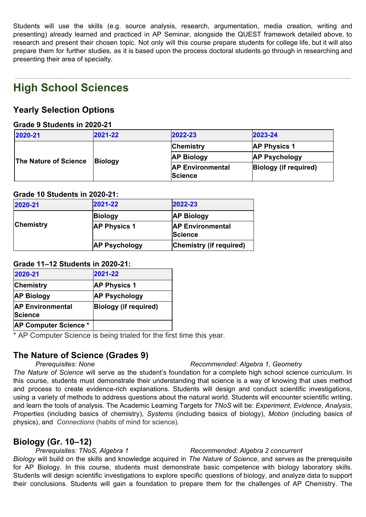Students will use the skills (e.g. source analysis, research, argumentation, media creation, writing and presenting) already learned and practiced in AP Seminar, alongside the QUEST framework detailed above, to research and present their chosen topic. Not only will this course prepare students for college life, but it will also prepare them for further studies, as it is based upon the process doctoral students go through in researching and presenting their area of specialty.

# **High School Sciences**

#### **Yearly Selection Options**

#### **Grade 9 Students in 2020-21**

| 2020-21                      | 2021-22        | 2022-23                                   | 2023-24                      |
|------------------------------|----------------|-------------------------------------------|------------------------------|
| <b>The Nature of Science</b> | <b>Biology</b> | <b>Chemistry</b>                          | <b>AP Physics 1</b>          |
|                              |                | <b>AP Biology</b>                         | <b>AP Psychology</b>         |
|                              |                | <b>AP Environmental</b><br><b>Science</b> | <b>Biology (if required)</b> |

#### **Grade 10 Students in 2020-21:**

| 2020-21          | 2021-22              | 2022-23                            |
|------------------|----------------------|------------------------------------|
|                  | <b>Biology</b>       | <b>AP Biology</b>                  |
| <b>Chemistry</b> | <b>AP Physics 1</b>  | <b>AP Environmental</b><br>Science |
|                  | <b>AP Psychology</b> | <b>Chemistry (if required)</b>     |

#### **Grade 11–12 Students in 2020-21:**

| 2020-21                                   | 2021-22                      |
|-------------------------------------------|------------------------------|
| <b>Chemistry</b>                          | <b>AP Physics 1</b>          |
| <b>AP Biology</b>                         | <b>AP Psychology</b>         |
| <b>AP Environmental</b><br><b>Science</b> | <b>Biology (if required)</b> |
| <b>AP Computer Science *</b>              |                              |

\* AP Computer Science is being trialed for the first time this year.

#### **The Nature of Science (Grades 9)**

#### *Prerequisites: None Recommended: Algebra 1, Geometry*

*The Nature of Science* will serve as the student's foundation for a complete high school science curriculum. In this course, students must demonstrate their understanding that science is a way of knowing that uses method and process to create evidence-rich explanations. Students will design and conduct scientific investigations, using a variety of methods to address questions about the natural world. Students will encounter scientific writing, and learn the tools of analysis. The Academic Learning Targets for *TNoS* will be: *Experiment*, *Evidence*, *Analysis*, *Properties* (including basics of chemistry), *Systems* (including basics of biology), *Motion* (including basics of physics), and *Connections* (habits of mind for science).

#### **Biology (Gr. 10–12)**

#### *Prerequisites: TNoS, Algebra 1 Recommended: Algebra 2 concurrent*

*Biology* will build on the skills and knowledge acquired in *The Nature of Science*, and serves as the prerequisite for AP Biology. In this course, students must demonstrate basic competence with biology laboratory skills. Students will design scientific investigations to explore specific questions of biology, and analyze data to support their conclusions. Students will gain a foundation to prepare them for the challenges of AP Chemistry. The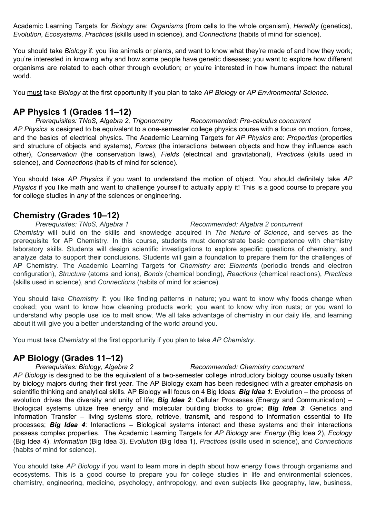Academic Learning Targets for *Biology* are: *Organisms* (from cells to the whole organism), *Heredity* (genetics), *Evolution*, *Ecosystems*, *Practices* (skills used in science), and *Connections* (habits of mind for science).

You should take *Biology* if: you like animals or plants, and want to know what they're made of and how they work; you're interested in knowing why and how some people have genetic diseases; you want to explore how different organisms are related to each other through evolution; or you're interested in how humans impact the natural world.

You must take *Biology* at the first opportunity if you plan to take *AP Biology* or *AP Environmental Science.*

#### **AP Physics 1 (Grades 11–12)**

*Prerequisites: TNoS, Algebra 2, Trigonometry Recommended: Pre-calculus concurrent AP Physics* is designed to be equivalent to a one-semester college physics course with a focus on motion, forces, and the basics of electrical physics. The Academic Learning Targets for *AP Physics* are: *Properties* (properties and structure of objects and systems), *Forces* (the interactions between objects and how they influence each other), *Conservation* (the conservation laws), *Fields* (electrical and gravitational), *Practices* (skills used in science), and *Connections* (habits of mind for science).

You should take *AP Physics* if you want to understand the motion of object. You should definitely take *AP Physics* if you like math and want to challenge yourself to actually apply it! This is a good course to prepare you for college studies in *any* of the sciences or engineering.

#### **Chemistry (Grades 10–12)**

*Prerequisites: TNoS, Algebra 1 Recommended: Algebra 2 concurrent*

*Chemistry* will build on the skills and knowledge acquired in *The Nature of Science*, and serves as the prerequisite for AP Chemistry. In this course, students must demonstrate basic competence with chemistry laboratory skills. Students will design scientific investigations to explore specific questions of chemistry, and analyze data to support their conclusions. Students will gain a foundation to prepare them for the challenges of AP Chemistry. The Academic Learning Targets for *Chemistry* are: *Elements* (periodic trends and electron configuration), *Structure* (atoms and ions), *Bonds* (chemical bonding), *Reactions* (chemical reactions), *Practices* (skills used in science), and *Connections* (habits of mind for science).

You should take *Chemistry* if: you like finding patterns in nature; you want to know why foods change when cooked; you want to know how cleaning products work; you want to know why iron rusts; or you want to understand why people use ice to melt snow. We all take advantage of chemistry in our daily life, and learning about it will give you a better understanding of the world around you.

You must take *Chemistry* at the first opportunity if you plan to take *AP Chemistry*.

#### **AP Biology (Grades 11–12)**

*Prerequisites: Biology, Algebra 2 Recommended: Chemistry concurrent*

*AP Biology* is designed to be the equivalent of a two-semester college introductory biology course usually taken by biology majors during their first year. The AP Biology exam has been redesigned with a greater emphasis on scientific thinking and analytical skills. AP Biology will focus on 4 Big Ideas: *Big Idea 1*: Evolution – the process of evolution drives the diversity and unity of life; *Big Idea 2*: Cellular Processes (Energy and Communication) – Biological systems utilize free energy and molecular building blocks to grow; *Big Idea 3*: Genetics and Information Transfer – living systems store, retrieve, transmit, and respond to information essential to life processes; *Big Idea 4*: Interactions – Biological systems interact and these systems and their interactions possess complex properties. The Academic Learning Targets for *AP Biology* are: *Energy* (Big Idea 2), *Ecology* (Big Idea 4), *Information* (Big Idea 3), *Evolution* (Big Idea 1), *Practices* (skills used in science), and *Connections* (habits of mind for science).

You should take *AP Biology* if you want to learn more in depth about how energy flows through organisms and ecosystems. This is a good course to prepare you for college studies in life and environmental sciences, chemistry, engineering, medicine, psychology, anthropology, and even subjects like geography, law, business,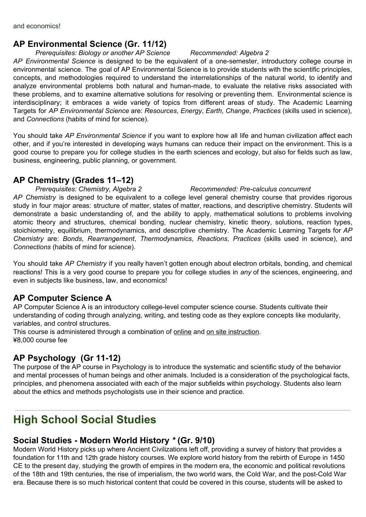#### **AP Environmental Science (Gr. 11/12)**

*Prerequisites: Biology or another AP Science Recommended: Algebra 2*

*AP Environmental Science* is designed to be the equivalent of a one-semester, introductory college course in environmental science. The goal of AP Environmental Science is to provide students with the scientific principles, concepts, and methodologies required to understand the interrelationships of the natural world, to identify and analyze environmental problems both natural and human-made, to evaluate the relative risks associated with these problems, and to examine alternative solutions for resolving or preventing them. Environmental science is interdisciplinary; it embraces a wide variety of topics from different areas of study. The Academic Learning Targets for *AP Environmental Science* are: *Resources*, *Energy*, *Earth*, *Change*, *Practices* (skills used in science), and *Connections* (habits of mind for science).

You should take *AP Environmental Science* if you want to explore how all life and human civilization affect each other, and if you're interested in developing ways humans can reduce their impact on the environment. This is a good course to prepare you for college studies in the earth sciences and ecology, but also for fields such as law, business, engineering, public planning, or government.

#### **AP Chemistry (Grades 11–12)**

#### *Prerequisites: Chemistry, Algebra 2 Recommended: Pre-calculus concurrent*

*AP Chemistry* is designed to be equivalent to a college level general chemistry course that provides rigorous study in four major areas: structure of matter, states of matter, reactions, and descriptive chemistry. Students will demonstrate a basic understanding of, and the ability to apply, mathematical solutions to problems involving atomic theory and structures, chemical bonding, nuclear chemistry, kinetic theory, solutions, reaction types, stoichiometry, equilibrium, thermodynamics, and descriptive chemistry. The Academic Learning Targets for *AP Chemistry* are: *Bonds*, *Rearrangement*, *Thermodynamics*, *Reactions*, *Practices* (skills used in science), and *Connections* (habits of mind for science).

You should take *AP Chemistry* if you really haven't gotten enough about electron orbitals, bonding, and chemical reactions! This is a very good course to prepare you for college studies in *any* of the sciences, engineering, and even in subjects like business, law, and economics!

#### **AP Computer Science A**

AP Computer Science A is an introductory college-level computer science course. Students cultivate their understanding of coding through analyzing, writing, and testing code as they explore concepts like modularity, variables, and control structures.

This course is administered through a combination of online and on site instruction. ¥8,000 course fee

#### **AP Psychology (Gr 11-12)**

The purpose of the AP course in Psychology is to introduce the systematic and scientific study of the behavior and mental processes of human beings and other animals. Included is a consideration of the psychological facts, principles, and phenomena associated with each of the major subfields within psychology. Students also learn about the ethics and methods psychologists use in their science and practice.

# **High School Social Studies**

### **Social Studies - Modern World History** *\** **(Gr. 9/10)**

Modern World History picks up where Ancient Civilizations left off, providing a survey of history that provides a foundation for 11th and 12th grade history courses. We explore world history from the rebirth of Europe in 1450 CE to the present day, studying the growth of empires in the modern era, the economic and political revolutions of the 18th and 19th centuries, the rise of imperialism, the two world wars, the Cold War, and the post-Cold War era. Because there is so much historical content that could be covered in this course, students will be asked to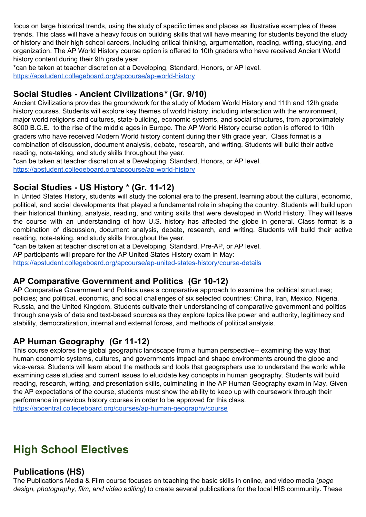focus on large historical trends, using the study of specific times and places as illustrative examples of these trends. This class will have a heavy focus on building skills that will have meaning for students beyond the study of history and their high school careers, including critical thinking, argumentation, reading, writing, studying, and organization. The AP World History course option is offered to 10th graders who have received Ancient World history content during their 9th grade year.

\*can be taken at teacher discretion at a Developing, Standard, Honors, or AP level. <https://apstudent.collegeboard.org/apcourse/ap-world-history>

#### **Social Studies** *-* **Ancient Civilizations***\** **(Gr. 9/10)**

Ancient Civilizations provides the groundwork for the study of Modern World History and 11th and 12th grade history courses. Students will explore key themes of world history, including interaction with the environment, major world religions and cultures, state-building, economic systems, and social structures, from approximately 8000 B.C.E. to the rise of the middle ages in Europe*.* The AP World History course option is offered to 10th graders who have received Modern World history content during their 9th grade year. Class format is a combination of discussion, document analysis, debate, research, and writing. Students will build their active reading, note-taking, and study skills throughout the year.

\*can be taken at teacher discretion at a Developing, Standard, Honors, or AP level. <https://apstudent.collegeboard.org/apcourse/ap-world-history>

#### **Social Studies - US History \* (Gr. 11-12)**

In United States History, students will study the colonial era to the present, learning about the cultural, economic, political, and social developments that played a fundamental role in shaping the country. Students will build upon their historical thinking, analysis, reading, and writing skills that were developed in World History. They will leave the course with an understanding of how U.S. history has affected the globe in general. Class format is a combination of discussion, document analysis, debate, research, and writing. Students will build their active reading, note-taking, and study skills throughout the year.

\*can be taken at teacher discretion at a Developing, Standard, Pre-AP, or AP level.

AP participants will prepare for the AP United States History exam in May:

<https://apstudent.collegeboard.org/apcourse/ap-united-states-history/course-details>

#### **AP Comparative Government and Politics (Gr 10-12)**

AP Comparative Government and Politics uses a comparative approach to examine the political structures; policies; and political, economic, and social challenges of six selected countries: China, Iran, Mexico, Nigeria, Russia, and the United Kingdom. Students cultivate their understanding of comparative government and politics through analysis of data and text-based sources as they explore topics like power and authority, legitimacy and stability, democratization, internal and external forces, and methods of political analysis.

### **AP Human Geography (Gr 11-12)**

This course explores the global geographic landscape from a human perspective-- examining the way that human economic systems, cultures, and governments impact and shape environments around the globe and vice-versa. Students will learn about the methods and tools that geographers use to understand the world while examining case studies and current issues to elucidate key concepts in human geography. Students will build reading, research, writing, and presentation skills, culminating in the AP Human Geography exam in May. Given the AP expectations of the course, students must show the ability to keep up with coursework through their performance in previous history courses in order to be approved for this class.

<https://apcentral.collegeboard.org/courses/ap-human-geography/course>

# **High School Electives**

#### **Publications (HS)**

The Publications Media & Film course focuses on teaching the basic skills in online, and video media (*page design, photography, film, and video editing*) to create several publications for the local HIS community. These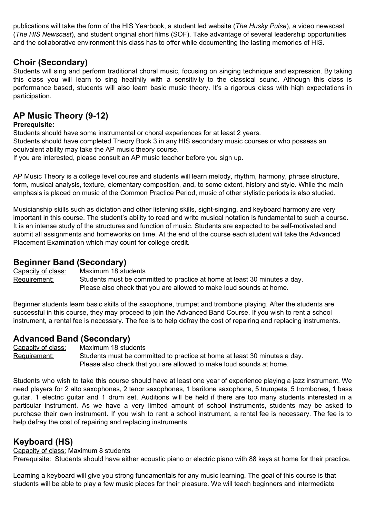publications will take the form of the HIS Yearbook, a student led website (*The Husky Pulse*), a video newscast (*The HIS Newscast*), and student original short films (SOF). Take advantage of several leadership opportunities and the collaborative environment this class has to offer while documenting the lasting memories of HIS.

#### **Choir (Secondary)**

Students will sing and perform traditional choral music, focusing on singing technique and expression. By taking this class you will learn to sing healthily with a sensitivity to the classical sound. Although this class is performance based, students will also learn basic music theory. It's a rigorous class with high expectations in participation.

#### **AP Music Theory (9-12)**

#### **Prerequisite:**

Students should have some instrumental or choral experiences for at least 2 years.

Students should have completed Theory Book 3 in any HIS secondary music courses or who possess an equivalent ability may take the AP music theory course.

If you are interested, please consult an AP music teacher before you sign up.

AP Music Theory is a college level course and students will learn melody, rhythm, harmony, phrase structure, form, musical analysis, texture, elementary composition, and, to some extent, history and style. While the main emphasis is placed on music of the Common Practice Period, music of other stylistic periods is also studied.

Musicianship skills such as dictation and other listening skills, sight-singing, and keyboard harmony are very important in this course. The student's ability to read and write musical notation is fundamental to such a course. It is an intense study of the structures and function of music. Students are expected to be self-motivated and submit all assignments and homeworks on time. At the end of the course each student will take the Advanced Placement Examination which may count for college credit.

#### **Beginner Band (Secondary)**

Capacity of class: Maximum 18 students Requirement: Students must be committed to practice at home at least 30 minutes a day. Please also check that you are allowed to make loud sounds at home.

Beginner students learn basic skills of the saxophone, trumpet and trombone playing. After the students are successful in this course, they may proceed to join the Advanced Band Course. If you wish to rent a school instrument, a rental fee is necessary. The fee is to help defray the cost of repairing and replacing instruments.

#### **Advanced Band (Secondary)**

Capacity of class: Maximum 18 students Requirement: Students must be committed to practice at home at least 30 minutes a day. Please also check that you are allowed to make loud sounds at home.

Students who wish to take this course should have at least one year of experience playing a jazz instrument. We need players for 2 alto saxophones, 2 tenor saxophones, 1 baritone saxophone, 5 trumpets, 5 trombones, 1 bass guitar, 1 electric guitar and 1 drum set. Auditions will be held if there are too many students interested in a particular instrument. As we have a very limited amount of school instruments, students may be asked to purchase their own instrument. If you wish to rent a school instrument, a rental fee is necessary. The fee is to help defray the cost of repairing and replacing instruments.

#### **Keyboard (HS)**

Capacity of class: Maximum 8 students

Prerequisite: Students should have either acoustic piano or electric piano with 88 keys at home for their practice.

Learning a keyboard will give you strong fundamentals for any music learning. The goal of this course is that students will be able to play a few music pieces for their pleasure. We will teach beginners and intermediate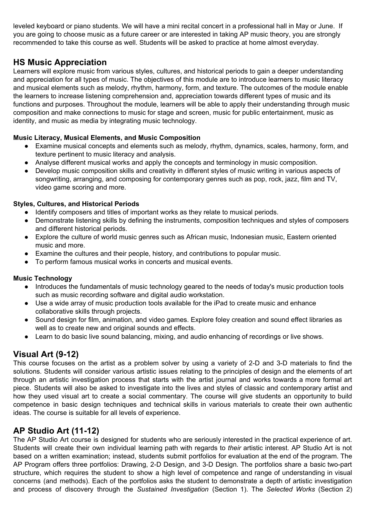leveled keyboard or piano students. We will have a mini recital concert in a professional hall in May or June. If you are going to choose music as a future career or are interested in taking AP music theory, you are strongly recommended to take this course as well. Students will be asked to practice at home almost everyday.

#### **HS Music Appreciation**

Learners will explore music from various styles, cultures, and historical periods to gain a deeper understanding and appreciation for all types of music. The objectives of this module are to introduce learners to music literacy and musical elements such as melody, rhythm, harmony, form, and texture. The outcomes of the module enable the learners to increase listening comprehension and, appreciation towards different types of music and its functions and purposes. Throughout the module, learners will be able to apply their understanding through music composition and make connections to music for stage and screen, music for public entertainment, music as identity, and music as media by integrating music technology.

#### **Music Literacy, Musical Elements, and Music Composition**

- Examine musical concepts and elements such as melody, rhythm, dynamics, scales, harmony, form, and texture pertinent to music literacy and analysis.
- Analyse different musical works and apply the concepts and terminology in music composition.
- Develop music composition skills and creativity in different styles of music writing in various aspects of songwriting, arranging, and composing for contemporary genres such as pop, rock, jazz, film and TV, video game scoring and more.

#### **Styles, Cultures, and Historical Periods**

- Identify composers and titles of important works as they relate to musical periods.
- Demonstrate listening skills by defining the instruments, composition techniques and styles of composers and different historical periods.
- Explore the culture of world music genres such as African music, Indonesian music, Eastern oriented music and more.
- Examine the cultures and their people, history, and contributions to popular music.
- To perform famous musical works in concerts and musical events.

#### **Music Technology**

- Introduces the fundamentals of music technology geared to the needs of today's music production tools such as music recording software and digital audio workstation.
- Use a wide array of music production tools available for the iPad to create music and enhance collaborative skills through projects.
- Sound design for film, animation, and video games. Explore foley creation and sound effect libraries as well as to create new and original sounds and effects.
- Learn to do basic live sound balancing, mixing, and audio enhancing of recordings or live shows.

#### **Visual Art (9-12)**

This course focuses on the artist as a problem solver by using a variety of 2-D and 3-D materials to find the solutions. Students will consider various artistic issues relating to the principles of design and the elements of art through an artistic investigation process that starts with the artist journal and works towards a more formal art piece. Students will also be asked to investigate into the lives and styles of classic and contemporary artist and how they used visual art to create a social commentary. The course will give students an opportunity to build competence in basic design techniques and technical skills in various materials to create their own authentic ideas. The course is suitable for all levels of experience.

#### **AP Studio Art (11-12)**

The AP Studio Art course is designed for students who are seriously interested in the practical experience of art. Students will create their own individual learning path with regards to *their* artistic interest. AP Studio Art is not based on a written examination; instead, students submit portfolios for evaluation at the end of the program. The AP Program offers three portfolios: Drawing, 2-D Design, and 3-D Design. The portfolios share a basic two-part structure, which requires the student to show a high level of competence and range of understanding in visual concerns (and methods). Each of the portfolios asks the student to demonstrate a depth of artistic investigation and process of discovery through the *Sustained Investigation* (Section 1). The *Selected Works* (Section 2)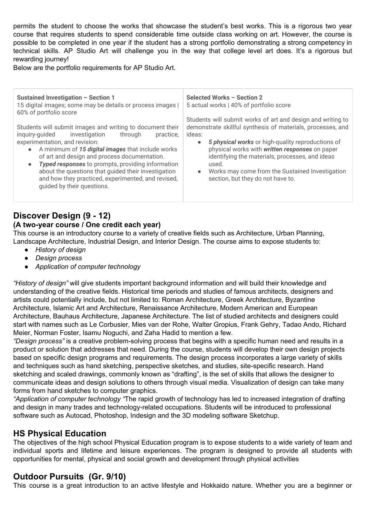permits the student to choose the works that showcase the student's best works. This is a rigorous two year course that requires students to spend considerable time outside class working on art. However, the course is possible to be completed in one year if the student has a strong portfolio demonstrating a strong competency in technical skills. AP Studio Art will challenge you in the way that college level art does. It's a rigorous but rewarding journey!

Below are the portfolio requirements for AP Studio Art.

| Sustained Investigation - Section 1                                                                                                                                                                                                                                                                                                                                                                                                                                                          | Selected Works - Section 2                                                                                                                                                                                                                                                                                                                                        |
|----------------------------------------------------------------------------------------------------------------------------------------------------------------------------------------------------------------------------------------------------------------------------------------------------------------------------------------------------------------------------------------------------------------------------------------------------------------------------------------------|-------------------------------------------------------------------------------------------------------------------------------------------------------------------------------------------------------------------------------------------------------------------------------------------------------------------------------------------------------------------|
| 15 digital images; some may be details or process images                                                                                                                                                                                                                                                                                                                                                                                                                                     | 5 actual works   40% of portfolio score                                                                                                                                                                                                                                                                                                                           |
| 60% of portfolio score                                                                                                                                                                                                                                                                                                                                                                                                                                                                       | Students will submit works of art and design and writing to                                                                                                                                                                                                                                                                                                       |
| Students will submit images and writing to document their<br>inquiry-quided<br>investigation<br>through<br>practice,<br>experimentation, and revision:<br>A minimum of 15 digital images that include works<br>$\bullet$<br>of art and design and process documentation.<br><b>Typed responses</b> to prompts, providing information<br>$\bullet$<br>about the questions that guided their investigation<br>and how they practiced, experimented, and revised,<br>guided by their questions. | demonstrate skillful synthesis of materials, processes, and<br>ideas:<br>5 <i>physical works</i> or high-quality reproductions of<br>$\bullet$<br>physical works with written responses on paper<br>identifying the materials, processes, and ideas<br>used.<br>Works may come from the Sustained Investigation<br>$\bullet$<br>section, but they do not have to. |

# **Discover Design (9 - 12)**

#### **(A two-year course / One credit each year)**

This course is an introductory course to a variety of creative fields such as Architecture, Urban Planning, Landscape Architecture, Industrial Design, and Interior Design. The course aims to expose students to:

- *● History of design*
- *● Design process*
- *● Application of computer technology*

*"History of design"* will give students important background information and will build their knowledge and understanding of the creative fields. Historical time periods and studies of famous architects, designers and artists could potentially include, but not limited to: Roman Architecture, Greek Architecture, Byzantine Architecture, Islamic Art and Architecture, Renaissance Architecture, Modern American and European Architecture, Bauhaus Architecture, Japanese Architecture. The list of studied architects and designers could start with names such as Le Corbusier, Mies van der Rohe, Walter Gropius, Frank Gehry, Tadao Ando, Richard Meier, Norman Foster, Isamu Noguchi, and Zaha Hadid to mention a few.

*"Design process"* is a creative problem-solving process that begins with a specific human need and results in a product or solution that addresses that need. During the course, students will develop their own design projects based on specific design programs and requirements. The design process incorporates a large variety of skills and techniques such as hand sketching, perspective sketches, and studies, site-specific research. Hand sketching and scaled drawings, commonly known as "drafting", is the set of skills that allows the designer to communicate ideas and design solutions to others through visual media. Visualization of design can take many forms from hand sketches to computer graphics.

*"Application of computer technology "*The rapid growth of technology has led to increased integration of drafting and design in many trades and technology-related occupations. Students will be introduced to professional software such as Autocad, Photoshop, Indesign and the 3D modeling software Sketchup.

#### **HS Physical Education**

The objectives of the high school Physical Education program is to expose students to a wide variety of team and individual sports and lifetime and leisure experiences. The program is designed to provide all students with opportunities for mental, physical and social growth and development through physical activities

#### **Outdoor Pursuits (Gr. 9/10)**

This course is a great introduction to an active lifestyle and Hokkaido nature. Whether you are a beginner or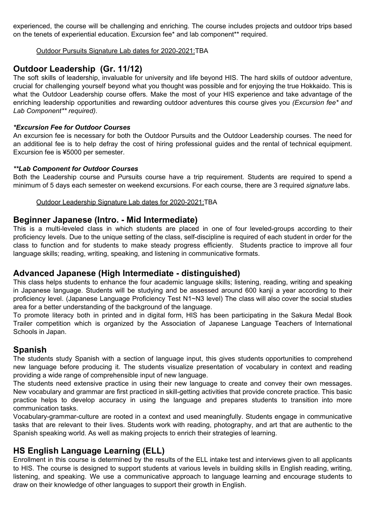experienced, the course will be challenging and enriching. The course includes projects and outdoor trips based on the tenets of experiential education. Excursion fee\* and lab component\*\* required.

#### Outdoor Pursuits Signature Lab dates for 2020-2021:TBA

#### **Outdoor Leadership (Gr. 11/12)**

The soft skills of leadership, invaluable for university and life beyond HIS. The hard skills of outdoor adventure, crucial for challenging yourself beyond what you thought was possible and for enjoying the true Hokkaido. This is what the Outdoor Leadership course offers. Make the most of your HIS experience and take advantage of the enriching leadership opportunities and rewarding outdoor adventures this course gives you *(Excursion fee\* and Lab Component\*\* required)*.

#### *\*Excursion Fee for Outdoor Courses*

An excursion fee is necessary for both the Outdoor Pursuits and the Outdoor Leadership courses. The need for an additional fee is to help defray the cost of hiring professional guides and the rental of technical equipment. Excursion fee is ¥5000 per semester.

#### *\*\*Lab Component for Outdoor Courses*

Both the Leadership course and Pursuits course have a trip requirement. Students are required to spend a minimum of 5 days each semester on weekend excursions. For each course, there are 3 required *signature* labs.

#### Outdoor Leadership Signature Lab dates for 2020-2021:TBA

#### **Beginner Japanese (Intro. - Mid Intermediate)**

This is a multi-leveled class in which students are placed in one of four leveled-groups according to their proficiency levels. Due to the unique setting of the class, self-discipline is required of each student in order for the class to function and for students to make steady progress efficiently. Students practice to improve all four language skills; reading, writing, speaking, and listening in communicative formats.

#### **Advanced Japanese (High Intermediate - distinguished)**

This class helps students to enhance the four academic language skills; listening, reading, writing and speaking in Japanese language. Students will be studying and be assessed around 600 kanji a year according to their proficiency level. (Japanese Language Proficiency Test N1~N3 level) The class will also cover the social studies area for a better understanding of the background of the language.

To promote literacy both in printed and in digital form, HIS has been participating in the Sakura Medal Book Trailer competition which is organized by the Association of Japanese Language Teachers of International Schools in Japan.

#### **Spanish**

The students study Spanish with a section of language input, this gives students opportunities to comprehend new language before producing it. The students visualize presentation of vocabulary in context and reading providing a wide range of comprehensible input of new language.

The students need extensive practice in using their new language to create and convey their own messages. New vocabulary and grammar are first practiced in skill-getting activities that provide concrete practice. This basic practice helps to develop accuracy in using the language and prepares students to transition into more communication tasks.

Vocabulary-grammar-culture are rooted in a context and used meaningfully. Students engage in communicative tasks that are relevant to their lives. Students work with reading, photography, and art that are authentic to the Spanish speaking world. As well as making projects to enrich their strategies of learning.

#### **HS English Language Learning (ELL)**

Enrollment in this course is determined by the results of the ELL intake test and interviews given to all applicants to HIS. The course is designed to support students at various levels in building skills in English reading, writing, listening, and speaking. We use a communicative approach to language learning and encourage students to draw on their knowledge of other languages to support their growth in English.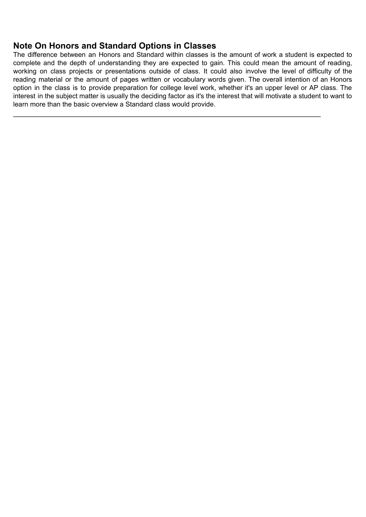#### **Note On Honors and Standard Options in Classes**

The difference between an Honors and Standard within classes is the amount of work a student is expected to complete and the depth of understanding they are expected to gain. This could mean the amount of reading, working on class projects or presentations outside of class. It could also involve the level of difficulty of the reading material or the amount of pages written or vocabulary words given. The overall intention of an Honors option in the class is to provide preparation for college level work, whether it's an upper level or AP class. The interest in the subject matter is usually the deciding factor as it's the interest that will motivate a student to want to learn more than the basic overview a Standard class would provide.

\_\_\_\_\_\_\_\_\_\_\_\_\_\_\_\_\_\_\_\_\_\_\_\_\_\_\_\_\_\_\_\_\_\_\_\_\_\_\_\_\_\_\_\_\_\_\_\_\_\_\_\_\_\_\_\_\_\_\_\_\_\_\_\_\_\_\_\_\_\_\_\_\_\_\_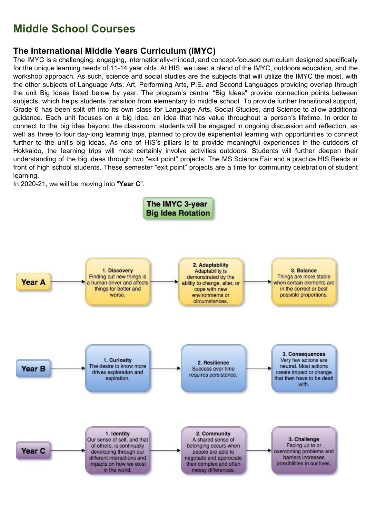## **Middle School Courses**

#### **The International Middle Years Curriculum (IMYC)**

The IMYC is a challenging, engaging, internationally-minded, and concept-focused curriculum designed specifically for the unique learning needs of 11-14 year olds. At HIS, we used a blend of the IMYC, outdoors education, and the workshop approach. As such, science and social studies are the subjects that will utilize the IMYC the most, with the other subjects of Language Arts, Art, Performing Arts, P.E. and Second Languages providing overlap through the unit Big Ideas listed below by year. The program's central "Big Ideas" provide connection points between subjects, which helps students transition from elementary to middle school. To provide further transitional support, Grade 6 has been split off into its own class for Language Arts, Social Studies, and Science to allow additional guidance. Each unit focuses on a big idea, an idea that has value throughout a person's lifetime. In order to connect to the big idea beyond the classroom, students will be engaged in ongoing discussion and reflection, as well as three to four day-long learning trips, planned to provide experiential learning with opportunities to connect further to the unit's big ideas. As one of HIS's pillars is to provide meaningful experiences in the outdoors of Hokkaido, the learning trips will most certainly involve activities outdoors. Students will further deepen their understanding of the big ideas through two "exit point" projects: The MS Science Fair and a practice HIS Reads in front of high school students. These semester "exit point" projects are a time for community celebration of student learning.

In 2020-21, we will be moving into "**Year C**".

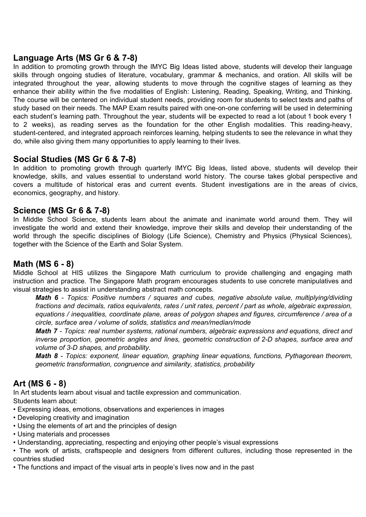#### **Language Arts (MS Gr 6 & 7-8)**

In addition to promoting growth through the IMYC Big Ideas listed above, students will develop their language skills through ongoing studies of literature, vocabulary, grammar & mechanics, and oration. All skills will be integrated throughout the year, allowing students to move through the cognitive stages of learning as they enhance their ability within the five modalities of English: Listening, Reading, Speaking, Writing, and Thinking. The course will be centered on individual student needs, providing room for students to select texts and paths of study based on their needs. The MAP Exam results paired with one-on-one conferring will be used in determining each student's learning path. Throughout the year, students will be expected to read a lot (about 1 book every 1 to 2 weeks), as reading serves as the foundation for the other English modalities. This reading-heavy, student-centered, and integrated approach reinforces learning, helping students to see the relevance in what they do, while also giving them many opportunities to apply learning to their lives.

#### **Social Studies (MS Gr 6 & 7-8)**

In addition to promoting growth through quarterly IMYC Big Ideas, listed above, students will develop their knowledge, skills, and values essential to understand world history. The course takes global perspective and covers a multitude of historical eras and current events. Student investigations are in the areas of civics, economics, geography, and history.

#### **Science (MS Gr 6 & 7-8)**

In Middle School Science, students learn about the animate and inanimate world around them. They will investigate the world and extend their knowledge, improve their skills and develop their understanding of the world through the specific disciplines of Biology (Life Science), Chemistry and Physics (Physical Sciences), together with the Science of the Earth and Solar System.

#### **Math (MS 6 - 8)**

Middle School at HIS utilizes the Singapore Math curriculum to provide challenging and engaging math instruction and practice. The Singapore Math program encourages students to use concrete manipulatives and visual strategies to assist in understanding abstract math concepts.

*Math 6 - Topics: Positive numbers / squares and cubes, negative absolute value, multiplying/dividing fractions and decimals, ratios equivalents, rates / unit rates, percent / part as whole, algebraic expression, equations / inequalities, coordinate plane, areas of polygon shapes and figures, circumference / area of a circle, surface area / volume of solids, statistics and mean/median/mode*

*Math 7 - Topics: real number systems, rational numbers, algebraic expressions and equations, direct and inverse proportion, geometric angles and lines, geometric construction of 2-D shapes, surface area and volume of 3-D shapes, and probability.*

*Math 8 - Topics: exponent, linear equation, graphing linear equations, functions, Pythagorean theorem, geometric transformation, congruence and similarity, statistics, probability*

#### **Art (MS 6 - 8)**

In Art students learn about visual and tactile expression and communication. Students learn about:

- Expressing ideas, emotions, observations and experiences in images
- Developing creativity and imagination
- Using the elements of art and the principles of design
- Using materials and processes
- Understanding, appreciating, respecting and enjoying other people's visual expressions
- The work of artists, craftspeople and designers from different cultures, including those represented in the countries studied
- The functions and impact of the visual arts in people's lives now and in the past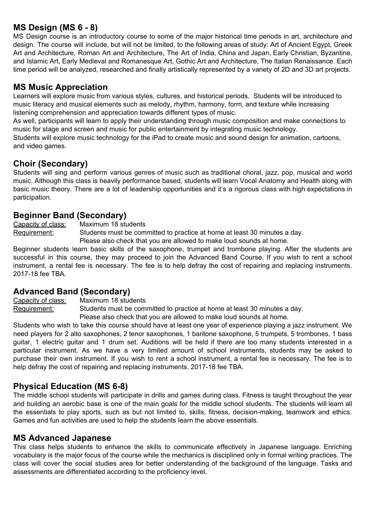#### **MS Design (MS 6 - 8)**

MS Design course is an introductory course to some of the major historical time periods in art, architecture and design. The course will include, but will not be limited, to the following areas of study: Art of Ancient Egypt, Greek Art and Architecture, Roman Art and Architecture, The Art of India, China and Japan, Early Christian, Byzantine, and Islamic Art, Early Medieval and Romanesque Art, Gothic Art and Architecture, The Italian Renaissance. Each time period will be analyzed, researched and finally artistically represented by a variety of 2D and 3D art projects.

#### **MS Music Appreciation**

Learners will explore music from various styles, cultures, and historical periods. Students will be introduced to music literacy and musical elements such as melody, rhythm, harmony, form, and texture while increasing listening comprehension and appreciation towards different types of music.

As well, participants will learn to apply their understanding through music composition and make connections to music for stage and screen and music for public entertainment by integrating music technology.

Students will explore music technology for the iPad to create music and sound design for animation, cartoons, and video games.

#### **Choir (Secondary)**

Students will sing and perform various genres of music such as traditional choral, jazz, pop, musical and world music. Although this class is heavily performance based, students will learn Vocal Anatomy and Health along with basic music theory. There are a lot of leadership opportunities and it's a rigorous class with high expectations in participation.

#### **Beginner Band (Secondary)**

Capacity of class: Maximum 18 students

Requirement: Students must be committed to practice at home at least 30 minutes a day.

Please also check that you are allowed to make loud sounds at home.

Beginner students learn basic skills of the saxophone, trumpet and trombone playing. After the students are successful in this course, they may proceed to join the Advanced Band Course. If you wish to rent a school instrument, a rental fee is necessary. The fee is to help defray the cost of repairing and replacing instruments. 2017-18 fee TBA.

#### **Advanced Band (Secondary)**

Capacity of class: Maximum 18 students Requirement: Students must be committed to practice at home at least 30 minutes a day.

Please also check that you are allowed to make loud sounds at home.

Students who wish to take this course should have at least one year of experience playing a jazz instrument. We need players for 2 alto saxophones, 2 tenor saxophones, 1 baritone saxophone, 5 trumpets, 5 trombones, 1 bass guitar, 1 electric guitar and 1 drum set. Auditions will be held if there are too many students interested in a particular instrument. As we have a very limited amount of school instruments, students may be asked to purchase their own instrument. If you wish to rent a school instrument, a rental fee is necessary. The fee is to help defray the cost of repairing and replacing instruments. 2017-18 fee TBA.

#### **Physical Education (MS 6-8)**

The middle school students will participate in drills and games during class. Fitness is taught throughout the year and building an aerobic base is one of the main goals for the middle school students. The students will learn all the essentials to play sports, such as but not limited to, skills, fitness, decision-making, teamwork and ethics. Games and fun activities are used to help the students learn the above essentials.

#### **MS Advanced Japanese**

This class helps students to enhance the skills to communicate effectively in Japanese language. Enriching vocabulary is the major focus of the course while the mechanics is disciplined only in formal writing practices. The class will cover the social studies area for better understanding of the background of the language. Tasks and assessments are differentiated according to the proficiency level.